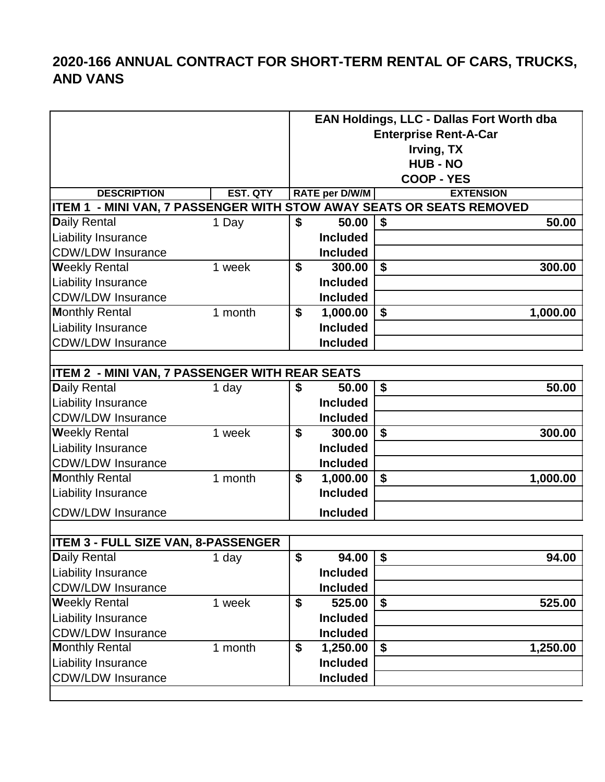|                                                                      |                 |    |                       | EAN Holdings, LLC - Dallas Fort Worth dba |  |  |  |
|----------------------------------------------------------------------|-----------------|----|-----------------------|-------------------------------------------|--|--|--|
|                                                                      |                 |    |                       | <b>Enterprise Rent-A-Car</b>              |  |  |  |
|                                                                      |                 |    | Irving, TX            |                                           |  |  |  |
|                                                                      |                 |    |                       | <b>HUB - NO</b>                           |  |  |  |
|                                                                      |                 |    | <b>COOP - YES</b>     |                                           |  |  |  |
| <b>DESCRIPTION</b>                                                   | <b>EST. QTY</b> |    | <b>RATE per D/W/M</b> | <b>EXTENSION</b>                          |  |  |  |
| ITEM 1 - MINI VAN, 7 PASSENGER WITH STOW AWAY SEATS OR SEATS REMOVED |                 |    |                       |                                           |  |  |  |
| Daily Rental                                                         | 1 Day           | \$ | 50.00                 | \$<br>50.00                               |  |  |  |
| <b>Liability Insurance</b>                                           |                 |    | <b>Included</b>       |                                           |  |  |  |
| <b>CDW/LDW Insurance</b>                                             |                 |    | <b>Included</b>       |                                           |  |  |  |
| <b>Weekly Rental</b>                                                 | 1 week          | \$ | 300.00                | \$<br>300.00                              |  |  |  |
| <b>Liability Insurance</b>                                           |                 |    | <b>Included</b>       |                                           |  |  |  |
| <b>CDW/LDW Insurance</b>                                             |                 |    | <b>Included</b>       |                                           |  |  |  |
| <b>Monthly Rental</b>                                                | 1 month         | \$ | 1,000.00              | \$<br>1,000.00                            |  |  |  |
| <b>Liability Insurance</b>                                           |                 |    | <b>Included</b>       |                                           |  |  |  |
| <b>CDW/LDW Insurance</b>                                             |                 |    | <b>Included</b>       |                                           |  |  |  |
|                                                                      |                 |    |                       |                                           |  |  |  |
| <b>ITEM 2 - MINI VAN, 7 PASSENGER WITH REAR SEATS</b>                |                 |    |                       |                                           |  |  |  |
| Daily Rental                                                         | 1 day           | \$ | 50.00                 | \$<br>50.00                               |  |  |  |
| <b>Liability Insurance</b>                                           |                 |    | <b>Included</b>       |                                           |  |  |  |
| <b>CDW/LDW Insurance</b>                                             |                 |    | <b>Included</b>       |                                           |  |  |  |
| <b>Weekly Rental</b>                                                 | 1 week          | \$ | 300.00                | \$<br>300.00                              |  |  |  |
| <b>Liability Insurance</b>                                           |                 |    | <b>Included</b>       |                                           |  |  |  |
| <b>CDW/LDW Insurance</b>                                             |                 |    | <b>Included</b>       |                                           |  |  |  |
| <b>Monthly Rental</b>                                                | 1 month         | \$ | 1,000.00              | \$<br>1,000.00                            |  |  |  |
| <b>Liability Insurance</b>                                           |                 |    | <b>Included</b>       |                                           |  |  |  |
| <b>CDW/LDW Insurance</b>                                             |                 |    | <b>Included</b>       |                                           |  |  |  |
|                                                                      |                 |    |                       |                                           |  |  |  |
| <b>ITEM 3 - FULL SIZE VAN, 8-PASSENGER</b>                           |                 |    |                       |                                           |  |  |  |
| <b>Daily Rental</b>                                                  | 1 day           | \$ | 94.00                 | \$<br>94.00                               |  |  |  |
| <b>Liability Insurance</b>                                           |                 |    | <b>Included</b>       |                                           |  |  |  |
| <b>CDW/LDW Insurance</b>                                             |                 |    | <b>Included</b>       |                                           |  |  |  |
| <b>Weekly Rental</b>                                                 | 1 week          | \$ | 525.00                | \$<br>525.00                              |  |  |  |
| <b>Liability Insurance</b>                                           |                 |    | <b>Included</b>       |                                           |  |  |  |
| <b>CDW/LDW Insurance</b>                                             |                 |    | <b>Included</b>       |                                           |  |  |  |
| <b>Monthly Rental</b>                                                | 1 month         | \$ | 1,250.00              | $\overline{1,}250.00$<br>\$               |  |  |  |
| <b>Liability Insurance</b>                                           |                 |    | <b>Included</b>       |                                           |  |  |  |
| <b>CDW/LDW Insurance</b>                                             |                 |    | <b>Included</b>       |                                           |  |  |  |
|                                                                      |                 |    |                       |                                           |  |  |  |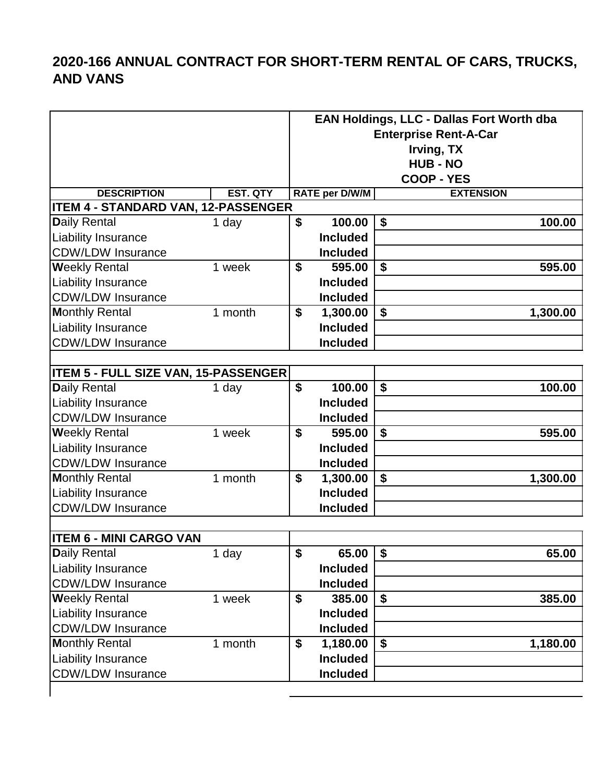|                                             |                 |            |                       | EAN Holdings, LLC - Dallas Fort Worth dba |  |  |  |
|---------------------------------------------|-----------------|------------|-----------------------|-------------------------------------------|--|--|--|
|                                             |                 |            |                       | <b>Enterprise Rent-A-Car</b>              |  |  |  |
|                                             |                 | Irving, TX |                       |                                           |  |  |  |
|                                             |                 |            | <b>HUB - NO</b>       |                                           |  |  |  |
|                                             |                 |            |                       | <b>COOP - YES</b>                         |  |  |  |
| <b>DESCRIPTION</b>                          | <b>EST. QTY</b> |            | <b>RATE per D/W/M</b> | <b>EXTENSION</b>                          |  |  |  |
| <b>ITEM 4 - STANDARD VAN, 12-PASSENGER</b>  |                 |            |                       |                                           |  |  |  |
| <b>Daily Rental</b>                         | 1 day           | \$         | 100.00                | \$<br>100.00                              |  |  |  |
| <b>Liability Insurance</b>                  |                 |            | <b>Included</b>       |                                           |  |  |  |
| <b>CDW/LDW Insurance</b>                    |                 |            | <b>Included</b>       |                                           |  |  |  |
| <b>Weekly Rental</b>                        | 1 week          | \$         | 595.00                | \$<br>595.00                              |  |  |  |
| Liability Insurance                         |                 |            | <b>Included</b>       |                                           |  |  |  |
| <b>CDW/LDW Insurance</b>                    |                 |            | <b>Included</b>       |                                           |  |  |  |
| <b>Monthly Rental</b>                       | 1 month         | \$         | 1,300.00              | \$<br>1,300.00                            |  |  |  |
| <b>Liability Insurance</b>                  |                 |            | <b>Included</b>       |                                           |  |  |  |
| <b>CDW/LDW Insurance</b>                    |                 |            | <b>Included</b>       |                                           |  |  |  |
|                                             |                 |            |                       |                                           |  |  |  |
| <b>ITEM 5 - FULL SIZE VAN, 15-PASSENGER</b> |                 |            |                       |                                           |  |  |  |
| <b>Daily Rental</b>                         | 1 day           | \$         | 100.00                | \$<br>100.00                              |  |  |  |
| <b>Liability Insurance</b>                  |                 |            | <b>Included</b>       |                                           |  |  |  |
| <b>CDW/LDW Insurance</b>                    |                 |            | <b>Included</b>       |                                           |  |  |  |
| <b>Weekly Rental</b>                        | 1 week          | \$         | 595.00                | \$<br>595.00                              |  |  |  |
| <b>Liability Insurance</b>                  |                 |            | <b>Included</b>       |                                           |  |  |  |
| <b>CDW/LDW Insurance</b>                    |                 |            | <b>Included</b>       |                                           |  |  |  |
| <b>Monthly Rental</b>                       | 1 month         | \$         | 1,300.00              | \$<br>1,300.00                            |  |  |  |
| <b>Liability Insurance</b>                  |                 |            | <b>Included</b>       |                                           |  |  |  |
| <b>CDW/LDW Insurance</b>                    |                 |            | <b>Included</b>       |                                           |  |  |  |
|                                             |                 |            |                       |                                           |  |  |  |
| <b>ITEM 6 - MINI CARGO VAN</b>              |                 |            |                       |                                           |  |  |  |
| Daily Rental                                | 1 day           | \$         | 65.00 $\sqrt{$}$      | 65.00                                     |  |  |  |
| Liability Insurance                         |                 |            | <b>Included</b>       |                                           |  |  |  |
| <b>CDW/LDW Insurance</b>                    |                 |            | <b>Included</b>       |                                           |  |  |  |
| <b>Weekly Rental</b>                        | 1 week          | \$         | 385.00                | \$<br>385.00                              |  |  |  |
| <b>Liability Insurance</b>                  |                 |            | <b>Included</b>       |                                           |  |  |  |
| <b>CDW/LDW Insurance</b>                    |                 |            | <b>Included</b>       |                                           |  |  |  |
| <b>Monthly Rental</b>                       | 1 month         | \$         | 1,180.00              | \$<br>1,180.00                            |  |  |  |
| <b>Liability Insurance</b>                  |                 |            | <b>Included</b>       |                                           |  |  |  |
| <b>CDW/LDW Insurance</b>                    |                 |            | <b>Included</b>       |                                           |  |  |  |
|                                             |                 |            |                       |                                           |  |  |  |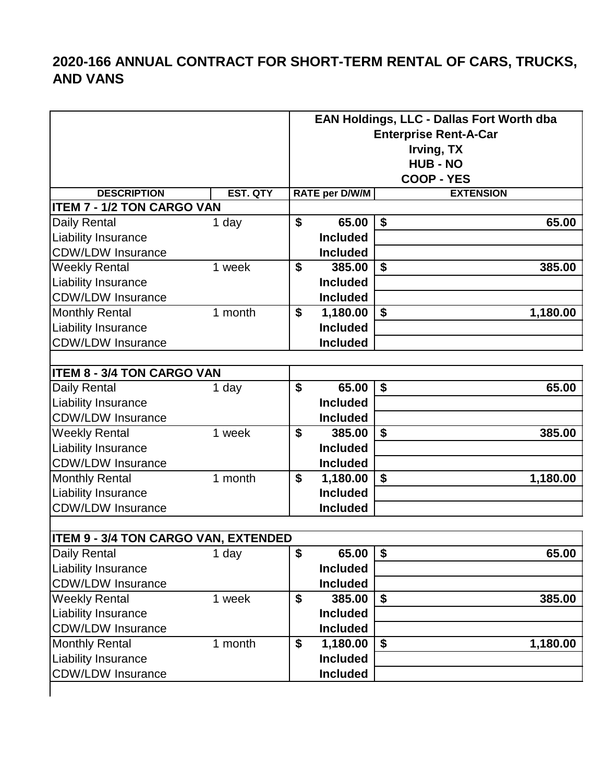|                                             |                 | EAN Holdings, LLC - Dallas Fort Worth dba |                              |                            |  |  |  |
|---------------------------------------------|-----------------|-------------------------------------------|------------------------------|----------------------------|--|--|--|
|                                             |                 |                                           | <b>Enterprise Rent-A-Car</b> |                            |  |  |  |
|                                             |                 |                                           | Irving, TX                   |                            |  |  |  |
|                                             |                 |                                           |                              | <b>HUB - NO</b>            |  |  |  |
|                                             |                 |                                           |                              | <b>COOP - YES</b>          |  |  |  |
| <b>DESCRIPTION</b>                          | <b>EST. QTY</b> |                                           | <b>RATE per D/W/M</b>        | <b>EXTENSION</b>           |  |  |  |
| <b>ITEM 7 - 1/2 TON CARGO VAN</b>           |                 |                                           |                              |                            |  |  |  |
| Daily Rental                                | 1 day           | \$                                        | 65.00                        | \$<br>65.00                |  |  |  |
| Liability Insurance                         |                 |                                           | <b>Included</b>              |                            |  |  |  |
| <b>CDW/LDW Insurance</b>                    |                 |                                           | <b>Included</b>              |                            |  |  |  |
| <b>Weekly Rental</b>                        | 1 week          | \$                                        | 385.00                       | \$<br>385.00               |  |  |  |
| Liability Insurance                         |                 |                                           | <b>Included</b>              |                            |  |  |  |
| <b>CDW/LDW Insurance</b>                    |                 |                                           | <b>Included</b>              |                            |  |  |  |
| <b>Monthly Rental</b>                       | 1 month         | \$                                        | 1,180.00                     | \$<br>1,180.00             |  |  |  |
| Liability Insurance                         |                 |                                           | <b>Included</b>              |                            |  |  |  |
| <b>CDW/LDW Insurance</b>                    |                 |                                           | <b>Included</b>              |                            |  |  |  |
|                                             |                 |                                           |                              |                            |  |  |  |
| <b>ITEM 8 - 3/4 TON CARGO VAN</b>           |                 |                                           |                              |                            |  |  |  |
| Daily Rental                                | 1 day           | \$                                        | 65.00                        | \$<br>65.00                |  |  |  |
| Liability Insurance                         |                 |                                           | <b>Included</b>              |                            |  |  |  |
| <b>CDW/LDW Insurance</b>                    |                 |                                           | <b>Included</b>              |                            |  |  |  |
| <b>Weekly Rental</b>                        | 1 week          | \$                                        | 385.00                       | \$<br>385.00               |  |  |  |
| Liability Insurance                         |                 |                                           | <b>Included</b>              |                            |  |  |  |
| <b>CDW/LDW Insurance</b>                    |                 |                                           | <b>Included</b>              |                            |  |  |  |
| <b>Monthly Rental</b>                       | 1 month         | \$                                        | 1,180.00                     | \$<br>1,180.00             |  |  |  |
| Liability Insurance                         |                 |                                           | <b>Included</b>              |                            |  |  |  |
| <b>CDW/LDW Insurance</b>                    |                 |                                           | <b>Included</b>              |                            |  |  |  |
|                                             |                 |                                           |                              |                            |  |  |  |
| <b>ITEM 9 - 3/4 TON CARGO VAN, EXTENDED</b> |                 |                                           |                              |                            |  |  |  |
| Daily Rental                                | 1 day           | \$                                        | 65.00                        | $\boldsymbol{\$}$<br>65.00 |  |  |  |
| Liability Insurance                         |                 |                                           | <b>Included</b>              |                            |  |  |  |
| <b>CDW/LDW Insurance</b>                    |                 |                                           | <b>Included</b>              |                            |  |  |  |
| <b>Weekly Rental</b>                        | 1 week          | \$                                        | 385.00                       | \$<br>385.00               |  |  |  |
| Liability Insurance                         |                 |                                           | <b>Included</b>              |                            |  |  |  |
| <b>CDW/LDW Insurance</b>                    |                 |                                           | <b>Included</b>              |                            |  |  |  |
| <b>Monthly Rental</b>                       | 1 month         | \$                                        | 1,180.00                     | \$<br>1,180.00             |  |  |  |
| <b>Liability Insurance</b>                  |                 |                                           | <b>Included</b>              |                            |  |  |  |
| <b>CDW/LDW Insurance</b>                    |                 |                                           | <b>Included</b>              |                            |  |  |  |
|                                             |                 |                                           |                              |                            |  |  |  |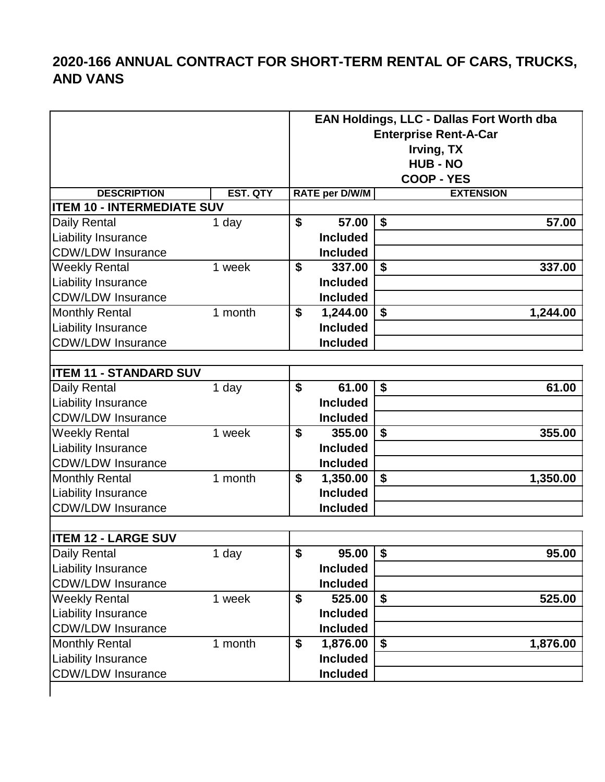|                                   |                 |                              |                   | EAN Holdings, LLC - Dallas Fort Worth dba |  |  |  |
|-----------------------------------|-----------------|------------------------------|-------------------|-------------------------------------------|--|--|--|
|                                   |                 | <b>Enterprise Rent-A-Car</b> |                   |                                           |  |  |  |
|                                   |                 | Irving, TX                   |                   |                                           |  |  |  |
|                                   |                 | <b>HUB - NO</b>              |                   |                                           |  |  |  |
|                                   |                 |                              |                   | <b>COOP - YES</b>                         |  |  |  |
| <b>DESCRIPTION</b>                | <b>EST. QTY</b> | RATE per D/W/M               |                   | <b>EXTENSION</b>                          |  |  |  |
| <b>ITEM 10 - INTERMEDIATE SUV</b> |                 |                              |                   |                                           |  |  |  |
| Daily Rental                      | 1 day           | \$<br>57.00                  | \$                | 57.00                                     |  |  |  |
| Liability Insurance               |                 | <b>Included</b>              |                   |                                           |  |  |  |
| <b>CDW/LDW Insurance</b>          |                 | <b>Included</b>              |                   |                                           |  |  |  |
| <b>Weekly Rental</b>              | 1 week          | \$<br>337.00                 | \$                | 337.00                                    |  |  |  |
| Liability Insurance               |                 | <b>Included</b>              |                   |                                           |  |  |  |
| <b>CDW/LDW Insurance</b>          |                 | <b>Included</b>              |                   |                                           |  |  |  |
| <b>Monthly Rental</b>             | 1 month         | \$<br>1,244.00               | \$                | 1,244.00                                  |  |  |  |
| Liability Insurance               |                 | <b>Included</b>              |                   |                                           |  |  |  |
| <b>CDW/LDW Insurance</b>          |                 | <b>Included</b>              |                   |                                           |  |  |  |
|                                   |                 |                              |                   |                                           |  |  |  |
| <b>ITEM 11 - STANDARD SUV</b>     |                 |                              |                   |                                           |  |  |  |
| Daily Rental                      | 1 day           | \$<br>61.00                  | \$                | 61.00                                     |  |  |  |
| Liability Insurance               |                 | <b>Included</b>              |                   |                                           |  |  |  |
| <b>CDW/LDW Insurance</b>          |                 | <b>Included</b>              |                   |                                           |  |  |  |
| <b>Weekly Rental</b>              | 1 week          | \$<br>355.00                 | \$                | 355.00                                    |  |  |  |
| Liability Insurance               |                 | <b>Included</b>              |                   |                                           |  |  |  |
| <b>CDW/LDW Insurance</b>          |                 | <b>Included</b>              |                   |                                           |  |  |  |
| <b>Monthly Rental</b>             | 1 month         | \$<br>1,350.00               | \$                | 1,350.00                                  |  |  |  |
| Liability Insurance               |                 | <b>Included</b>              |                   |                                           |  |  |  |
| <b>CDW/LDW Insurance</b>          |                 | <b>Included</b>              |                   |                                           |  |  |  |
|                                   |                 |                              |                   |                                           |  |  |  |
| <b>ITEM 12 - LARGE SUV</b>        |                 |                              |                   |                                           |  |  |  |
| Daily Rental                      | 1 day           | \$<br>95.00                  | $\boldsymbol{\$}$ | 95.00                                     |  |  |  |
| <b>Liability Insurance</b>        |                 | <b>Included</b>              |                   |                                           |  |  |  |
| <b>CDW/LDW Insurance</b>          |                 | <b>Included</b>              |                   |                                           |  |  |  |
| <b>Weekly Rental</b>              | 1 week          | \$<br>525.00                 | \$                | 525.00                                    |  |  |  |
| <b>Liability Insurance</b>        |                 | <b>Included</b>              |                   |                                           |  |  |  |
| <b>CDW/LDW Insurance</b>          |                 | <b>Included</b>              |                   |                                           |  |  |  |
| <b>Monthly Rental</b>             | 1 month         | \$<br>1,876.00               | \$                | 1,876.00                                  |  |  |  |
| Liability Insurance               |                 | <b>Included</b>              |                   |                                           |  |  |  |
| <b>CDW/LDW Insurance</b>          |                 | <b>Included</b>              |                   |                                           |  |  |  |
|                                   |                 |                              |                   |                                           |  |  |  |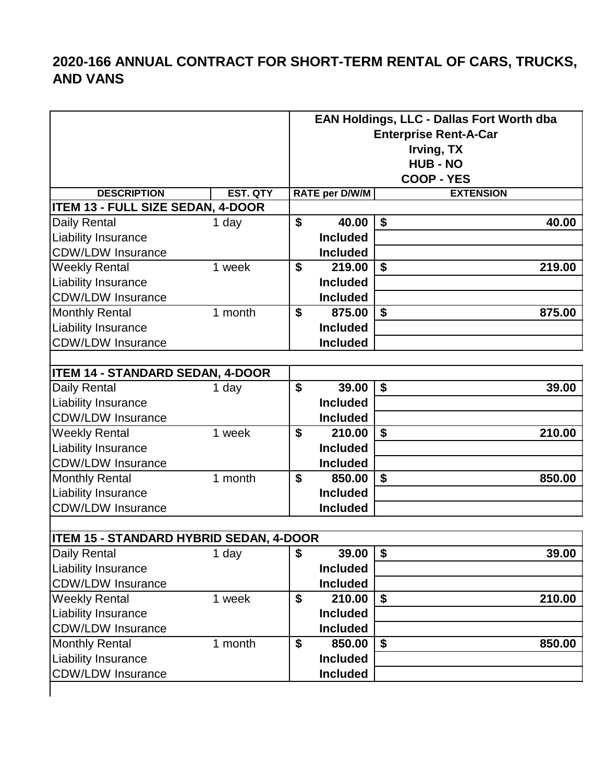|                                                |                 |                           | <b>EAN Holdings, LLC - Dallas Fort Worth dba</b> |                              |  |  |  |
|------------------------------------------------|-----------------|---------------------------|--------------------------------------------------|------------------------------|--|--|--|
|                                                |                 |                           |                                                  | <b>Enterprise Rent-A-Car</b> |  |  |  |
|                                                |                 |                           | Irving, TX                                       |                              |  |  |  |
|                                                |                 |                           | <b>HUB - NO</b>                                  |                              |  |  |  |
|                                                |                 |                           |                                                  | <b>COOP - YES</b>            |  |  |  |
| <b>DESCRIPTION</b>                             | <b>EST. QTY</b> |                           | <b>RATE per D/W/M</b>                            | <b>EXTENSION</b>             |  |  |  |
| <b>ITEM 13 - FULL SIZE SEDAN, 4-DOOR</b>       |                 |                           |                                                  |                              |  |  |  |
| Daily Rental                                   | 1 day           | \$                        | 40.00                                            | \$<br>40.00                  |  |  |  |
| Liability Insurance                            |                 |                           | <b>Included</b>                                  |                              |  |  |  |
| <b>CDW/LDW Insurance</b>                       |                 |                           | <b>Included</b>                                  |                              |  |  |  |
| <b>Weekly Rental</b>                           | 1 week          | \$                        | 219.00                                           | \$<br>219.00                 |  |  |  |
| <b>Liability Insurance</b>                     |                 |                           | <b>Included</b>                                  |                              |  |  |  |
| <b>CDW/LDW Insurance</b>                       |                 |                           | <b>Included</b>                                  |                              |  |  |  |
| <b>Monthly Rental</b>                          | 1 month         | $\boldsymbol{\mathsf{s}}$ | 875.00                                           | \$<br>875.00                 |  |  |  |
| Liability Insurance                            |                 |                           | <b>Included</b>                                  |                              |  |  |  |
| <b>CDW/LDW Insurance</b>                       |                 |                           | <b>Included</b>                                  |                              |  |  |  |
|                                                |                 |                           |                                                  |                              |  |  |  |
| <b>ITEM 14 - STANDARD SEDAN, 4-DOOR</b>        |                 |                           |                                                  |                              |  |  |  |
| Daily Rental                                   | 1 day           | \$                        | 39.00                                            | \$<br>39.00                  |  |  |  |
| Liability Insurance                            |                 |                           | <b>Included</b>                                  |                              |  |  |  |
| <b>CDW/LDW Insurance</b>                       |                 |                           | <b>Included</b>                                  |                              |  |  |  |
| <b>Weekly Rental</b>                           | 1 week          | \$                        | 210.00                                           | \$<br>210.00                 |  |  |  |
| Liability Insurance                            |                 |                           | <b>Included</b>                                  |                              |  |  |  |
| <b>CDW/LDW Insurance</b>                       |                 |                           | <b>Included</b>                                  |                              |  |  |  |
| <b>Monthly Rental</b>                          | 1 month         | \$                        | 850.00                                           | \$<br>850.00                 |  |  |  |
| <b>Liability Insurance</b>                     |                 |                           | <b>Included</b>                                  |                              |  |  |  |
| <b>CDW/LDW Insurance</b>                       |                 |                           | <b>Included</b>                                  |                              |  |  |  |
|                                                |                 |                           |                                                  |                              |  |  |  |
| <b>ITEM 15 - STANDARD HYBRID SEDAN, 4-DOOR</b> |                 |                           |                                                  |                              |  |  |  |
| Daily Rental                                   | 1 day           | \$                        | $39.00$   \$                                     | 39.00                        |  |  |  |
| <b>Liability Insurance</b>                     |                 |                           | <b>Included</b>                                  |                              |  |  |  |
| <b>CDW/LDW Insurance</b>                       |                 |                           | <b>Included</b>                                  |                              |  |  |  |
| <b>Weekly Rental</b>                           | 1 week          | \$                        | 210.00                                           | \$<br>210.00                 |  |  |  |
| Liability Insurance                            |                 |                           | <b>Included</b>                                  |                              |  |  |  |
| <b>CDW/LDW Insurance</b>                       |                 |                           | <b>Included</b>                                  |                              |  |  |  |
| <b>Monthly Rental</b>                          | 1 month         | \$                        | 850.00                                           | \$<br>850.00                 |  |  |  |
| <b>Liability Insurance</b>                     |                 |                           | <b>Included</b>                                  |                              |  |  |  |
| <b>CDW/LDW Insurance</b>                       |                 |                           | <b>Included</b>                                  |                              |  |  |  |
|                                                |                 |                           |                                                  |                              |  |  |  |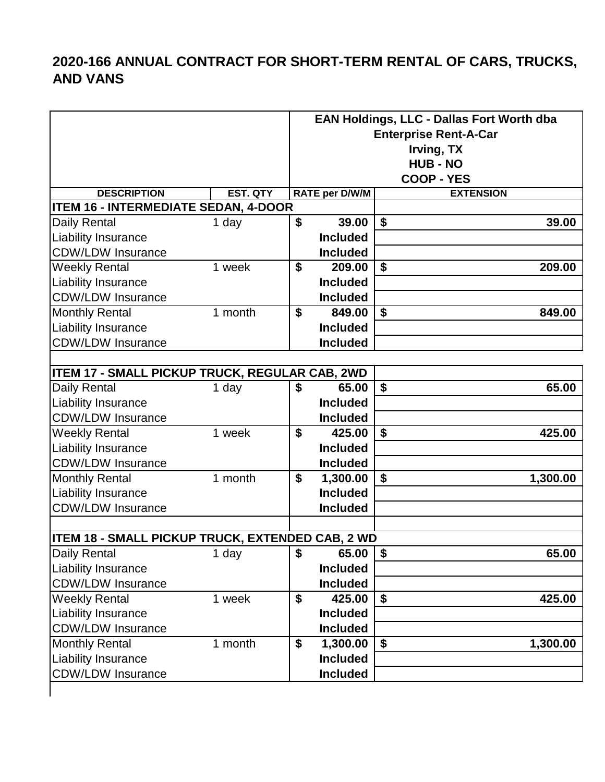|                                                  |                 | EAN Holdings, LLC - Dallas Fort Worth dba |                 |                              |  |  |  |
|--------------------------------------------------|-----------------|-------------------------------------------|-----------------|------------------------------|--|--|--|
|                                                  |                 |                                           |                 | <b>Enterprise Rent-A-Car</b> |  |  |  |
|                                                  |                 |                                           | Irving, TX      |                              |  |  |  |
|                                                  |                 |                                           | <b>HUB - NO</b> |                              |  |  |  |
|                                                  |                 |                                           |                 | <b>COOP - YES</b>            |  |  |  |
| <b>DESCRIPTION</b>                               | <b>EST. QTY</b> |                                           | RATE per D/W/M  | <b>EXTENSION</b>             |  |  |  |
| <b>ITEM 16 - INTERMEDIATE SEDAN, 4-DOOR</b>      |                 |                                           |                 |                              |  |  |  |
| <b>Daily Rental</b>                              | 1 day           | \$                                        | 39.00           | \$<br>39.00                  |  |  |  |
| <b>Liability Insurance</b>                       |                 |                                           | <b>Included</b> |                              |  |  |  |
| <b>CDW/LDW Insurance</b>                         |                 |                                           | <b>Included</b> |                              |  |  |  |
| <b>Weekly Rental</b>                             | 1 week          | \$                                        | 209.00          | \$<br>209.00                 |  |  |  |
| Liability Insurance                              |                 |                                           | <b>Included</b> |                              |  |  |  |
| <b>CDW/LDW Insurance</b>                         |                 |                                           | <b>Included</b> |                              |  |  |  |
| <b>Monthly Rental</b>                            | 1 month         | \$                                        | 849.00          | \$<br>849.00                 |  |  |  |
| Liability Insurance                              |                 |                                           | <b>Included</b> |                              |  |  |  |
| <b>CDW/LDW Insurance</b>                         |                 |                                           | <b>Included</b> |                              |  |  |  |
|                                                  |                 |                                           |                 |                              |  |  |  |
| ITEM 17 - SMALL PICKUP TRUCK, REGULAR CAB, 2WD   |                 |                                           |                 |                              |  |  |  |
| Daily Rental                                     | 1 day           | \$                                        | 65.00           | \$<br>65.00                  |  |  |  |
| Liability Insurance                              |                 |                                           | <b>Included</b> |                              |  |  |  |
| <b>CDW/LDW Insurance</b>                         |                 |                                           | <b>Included</b> |                              |  |  |  |
| <b>Weekly Rental</b>                             | 1 week          | \$                                        | 425.00          | \$<br>425.00                 |  |  |  |
| Liability Insurance                              |                 |                                           | <b>Included</b> |                              |  |  |  |
| <b>CDW/LDW Insurance</b>                         |                 |                                           | <b>Included</b> |                              |  |  |  |
| <b>Monthly Rental</b>                            | 1 month         | \$                                        | 1,300.00        | \$<br>1,300.00               |  |  |  |
| Liability Insurance                              |                 |                                           | <b>Included</b> |                              |  |  |  |
| <b>CDW/LDW Insurance</b>                         |                 |                                           | <b>Included</b> |                              |  |  |  |
|                                                  |                 |                                           |                 |                              |  |  |  |
| ITEM 18 - SMALL PICKUP TRUCK, EXTENDED CAB, 2 WD |                 |                                           |                 |                              |  |  |  |
| Daily Rental                                     | 1 day           | $\overline{5}$                            | $65.00$ \$      | 65.00                        |  |  |  |
| Liability Insurance                              |                 |                                           | <b>Included</b> |                              |  |  |  |
| <b>CDW/LDW Insurance</b>                         |                 |                                           | <b>Included</b> |                              |  |  |  |
| <b>Weekly Rental</b>                             | 1 week          | \$                                        | 425.00          | \$<br>425.00                 |  |  |  |
| <b>Liability Insurance</b>                       |                 |                                           | <b>Included</b> |                              |  |  |  |
| <b>CDW/LDW Insurance</b>                         |                 |                                           | <b>Included</b> |                              |  |  |  |
| <b>Monthly Rental</b>                            | 1 month         | \$                                        | 1,300.00        | \$<br>1,300.00               |  |  |  |
| Liability Insurance                              |                 |                                           | <b>Included</b> |                              |  |  |  |
| <b>CDW/LDW Insurance</b>                         |                 |                                           | <b>Included</b> |                              |  |  |  |
|                                                  |                 |                                           |                 |                              |  |  |  |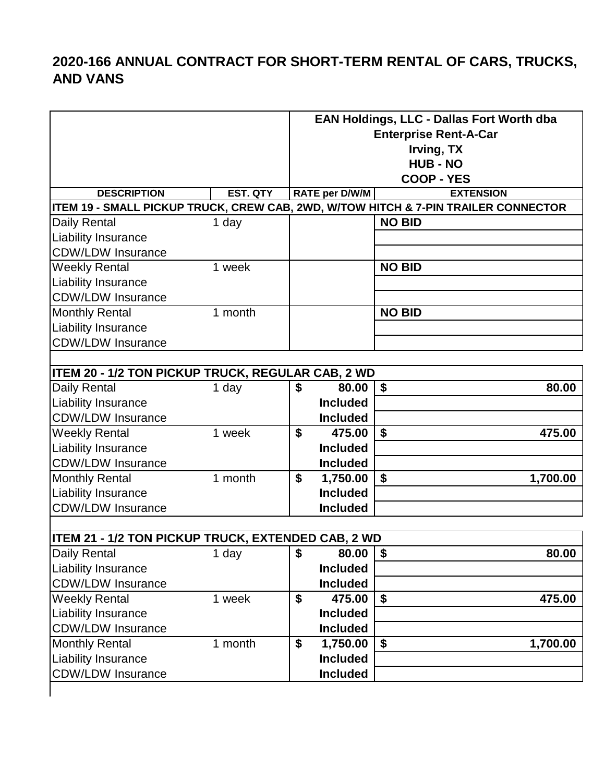|                                                                                    |                 |            | EAN Holdings, LLC - Dallas Fort Worth dba |                   |  |  |  |
|------------------------------------------------------------------------------------|-----------------|------------|-------------------------------------------|-------------------|--|--|--|
|                                                                                    |                 |            | <b>Enterprise Rent-A-Car</b>              |                   |  |  |  |
|                                                                                    |                 |            | Irving, TX                                |                   |  |  |  |
|                                                                                    |                 |            | <b>HUB - NO</b>                           |                   |  |  |  |
|                                                                                    |                 |            |                                           | <b>COOP - YES</b> |  |  |  |
| <b>DESCRIPTION</b>                                                                 | <b>EST. QTY</b> |            | <b>RATE per D/W/M</b>                     | <b>EXTENSION</b>  |  |  |  |
| ITEM 19 - SMALL PICKUP TRUCK, CREW CAB, 2WD, W/TOW HITCH & 7-PIN TRAILER CONNECTOR |                 |            |                                           |                   |  |  |  |
| Daily Rental                                                                       | 1 day           |            |                                           | <b>NO BID</b>     |  |  |  |
| Liability Insurance                                                                |                 |            |                                           |                   |  |  |  |
| <b>CDW/LDW Insurance</b>                                                           |                 |            |                                           |                   |  |  |  |
| <b>Weekly Rental</b>                                                               | 1 week          |            |                                           | <b>NO BID</b>     |  |  |  |
| Liability Insurance                                                                |                 |            |                                           |                   |  |  |  |
| <b>CDW/LDW Insurance</b>                                                           |                 |            |                                           |                   |  |  |  |
| <b>Monthly Rental</b>                                                              | 1 month         |            |                                           | <b>NO BID</b>     |  |  |  |
| Liability Insurance                                                                |                 |            |                                           |                   |  |  |  |
| <b>CDW/LDW Insurance</b>                                                           |                 |            |                                           |                   |  |  |  |
|                                                                                    |                 |            |                                           |                   |  |  |  |
| ITEM 20 - 1/2 TON PICKUP TRUCK, REGULAR CAB, 2 WD                                  |                 |            |                                           |                   |  |  |  |
| Daily Rental                                                                       | 1 day           | \$         | 80.00                                     | \$<br>80.00       |  |  |  |
| Liability Insurance                                                                |                 |            | <b>Included</b>                           |                   |  |  |  |
| <b>CDW/LDW Insurance</b>                                                           |                 |            | <b>Included</b>                           |                   |  |  |  |
| <b>Weekly Rental</b>                                                               | 1 week          | \$         | 475.00                                    | \$<br>475.00      |  |  |  |
| Liability Insurance                                                                |                 |            | <b>Included</b>                           |                   |  |  |  |
| <b>CDW/LDW Insurance</b>                                                           |                 |            | <b>Included</b>                           |                   |  |  |  |
| <b>Monthly Rental</b>                                                              | 1 month         | \$         | 1,750.00                                  | \$<br>1,700.00    |  |  |  |
| Liability Insurance                                                                |                 |            | <b>Included</b>                           |                   |  |  |  |
| <b>CDW/LDW Insurance</b>                                                           |                 |            | <b>Included</b>                           |                   |  |  |  |
|                                                                                    |                 |            |                                           |                   |  |  |  |
| ITEM 21 - 1/2 TON PICKUP TRUCK, EXTENDED CAB, 2 WD                                 |                 |            |                                           |                   |  |  |  |
| Daily Rental                                                                       | 1 day           | $\vert$ \$ | $80.00$ \$                                | 80.00             |  |  |  |
| <b>Liability Insurance</b>                                                         |                 |            | <b>Included</b>                           |                   |  |  |  |
| <b>CDW/LDW Insurance</b>                                                           |                 |            | <b>Included</b>                           |                   |  |  |  |
| <b>Weekly Rental</b>                                                               | 1 week          | \$         | 475.00                                    | \$<br>475.00      |  |  |  |
| <b>Liability Insurance</b>                                                         |                 |            | <b>Included</b>                           |                   |  |  |  |
| <b>CDW/LDW Insurance</b>                                                           |                 |            | <b>Included</b>                           |                   |  |  |  |
| <b>Monthly Rental</b>                                                              | 1 month         | \$         | 1,750.00                                  | \$<br>1,700.00    |  |  |  |
| Liability Insurance                                                                |                 |            | <b>Included</b>                           |                   |  |  |  |
| <b>CDW/LDW Insurance</b>                                                           |                 |            | <b>Included</b>                           |                   |  |  |  |
|                                                                                    |                 |            |                                           |                   |  |  |  |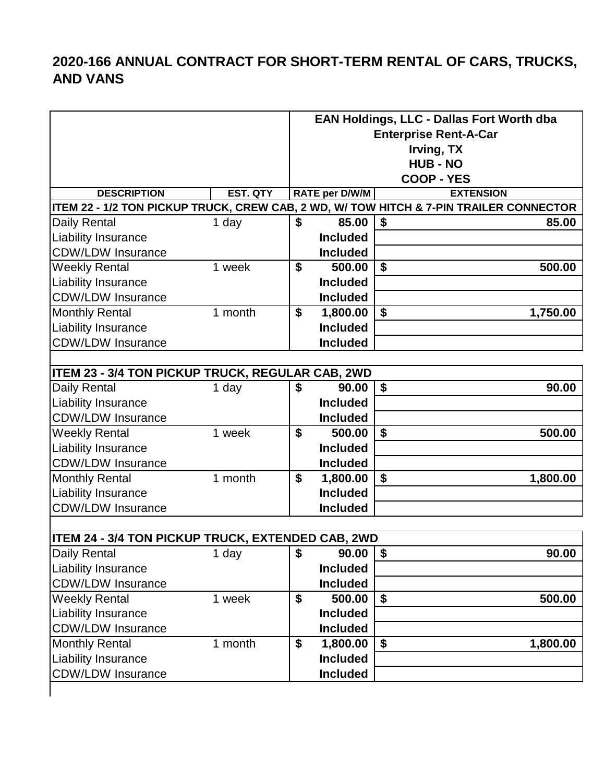|                                                         |          | EAN Holdings, LLC - Dallas Fort Worth dba |                              |                                                                                        |  |  |  |  |
|---------------------------------------------------------|----------|-------------------------------------------|------------------------------|----------------------------------------------------------------------------------------|--|--|--|--|
|                                                         |          |                                           | <b>Enterprise Rent-A-Car</b> |                                                                                        |  |  |  |  |
|                                                         |          |                                           | Irving, TX                   |                                                                                        |  |  |  |  |
|                                                         |          |                                           | <b>HUB - NO</b>              |                                                                                        |  |  |  |  |
|                                                         |          |                                           | <b>COOP - YES</b>            |                                                                                        |  |  |  |  |
| <b>DESCRIPTION</b>                                      | EST. QTY |                                           | <b>RATE per D/W/M</b>        | <b>EXTENSION</b>                                                                       |  |  |  |  |
|                                                         |          |                                           |                              | ITEM 22 - 1/2 TON PICKUP TRUCK, CREW CAB, 2 WD, W/ TOW HITCH & 7-PIN TRAILER CONNECTOR |  |  |  |  |
| Daily Rental                                            | 1 day    | \$                                        | 85.00                        | \$<br>85.00                                                                            |  |  |  |  |
| <b>Liability Insurance</b>                              |          |                                           | <b>Included</b>              |                                                                                        |  |  |  |  |
| <b>CDW/LDW Insurance</b>                                |          |                                           | <b>Included</b>              |                                                                                        |  |  |  |  |
| <b>Weekly Rental</b>                                    | 1 week   | \$                                        | 500.00                       | \$<br>500.00                                                                           |  |  |  |  |
| Liability Insurance                                     |          |                                           | <b>Included</b>              |                                                                                        |  |  |  |  |
| <b>CDW/LDW Insurance</b>                                |          |                                           | <b>Included</b>              |                                                                                        |  |  |  |  |
| <b>Monthly Rental</b>                                   | 1 month  | \$                                        | 1,800.00                     | \$<br>1,750.00                                                                         |  |  |  |  |
| Liability Insurance                                     |          |                                           | <b>Included</b>              |                                                                                        |  |  |  |  |
| <b>CDW/LDW Insurance</b>                                |          |                                           | <b>Included</b>              |                                                                                        |  |  |  |  |
|                                                         |          |                                           |                              |                                                                                        |  |  |  |  |
| <b>ITEM 23 - 3/4 TON PICKUP TRUCK, REGULAR CAB, 2WD</b> |          |                                           |                              |                                                                                        |  |  |  |  |
| Daily Rental                                            | 1 day    | \$                                        | 90.00                        | \$<br>90.00                                                                            |  |  |  |  |
| Liability Insurance                                     |          |                                           | <b>Included</b>              |                                                                                        |  |  |  |  |
| <b>CDW/LDW Insurance</b>                                |          |                                           | <b>Included</b>              |                                                                                        |  |  |  |  |
| <b>Weekly Rental</b>                                    | 1 week   | \$                                        | 500.00                       | \$<br>500.00                                                                           |  |  |  |  |
| <b>Liability Insurance</b>                              |          |                                           | <b>Included</b>              |                                                                                        |  |  |  |  |
| <b>CDW/LDW Insurance</b>                                |          |                                           | <b>Included</b>              |                                                                                        |  |  |  |  |
| <b>Monthly Rental</b>                                   | 1 month  | \$                                        | 1,800.00                     | \$<br>1,800.00                                                                         |  |  |  |  |
| Liability Insurance                                     |          |                                           | <b>Included</b>              |                                                                                        |  |  |  |  |
| <b>CDW/LDW Insurance</b>                                |          |                                           | <b>Included</b>              |                                                                                        |  |  |  |  |
|                                                         |          |                                           |                              |                                                                                        |  |  |  |  |
| ITEM 24 - 3/4 TON PICKUP TRUCK, EXTENDED CAB, 2WD       |          |                                           |                              |                                                                                        |  |  |  |  |
| Daily Rental                                            | 1 day    | \$                                        | $90.00$   \$                 | 90.00                                                                                  |  |  |  |  |
| Liability Insurance                                     |          |                                           | <b>Included</b>              |                                                                                        |  |  |  |  |
| <b>CDW/LDW Insurance</b>                                |          |                                           | <b>Included</b>              |                                                                                        |  |  |  |  |
| <b>Weekly Rental</b>                                    | 1 week   | \$                                        | 500.00                       | \$<br>500.00                                                                           |  |  |  |  |
| Liability Insurance                                     |          |                                           | <b>Included</b>              |                                                                                        |  |  |  |  |
| <b>CDW/LDW Insurance</b>                                |          |                                           | <b>Included</b>              |                                                                                        |  |  |  |  |
| <b>Monthly Rental</b>                                   | 1 month  | \$                                        | 1,800.00                     | \$<br>1,800.00                                                                         |  |  |  |  |
| Liability Insurance                                     |          |                                           | <b>Included</b>              |                                                                                        |  |  |  |  |
| <b>CDW/LDW Insurance</b>                                |          |                                           | <b>Included</b>              |                                                                                        |  |  |  |  |
|                                                         |          |                                           |                              |                                                                                        |  |  |  |  |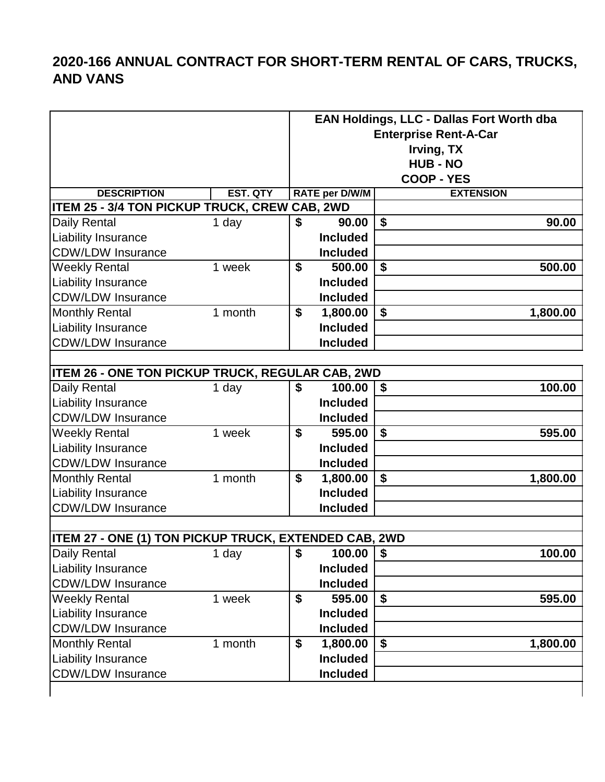|                                                       |                              | EAN Holdings, LLC - Dallas Fort Worth dba |                              |                                     |  |  |  |
|-------------------------------------------------------|------------------------------|-------------------------------------------|------------------------------|-------------------------------------|--|--|--|
|                                                       |                              |                                           | <b>Enterprise Rent-A-Car</b> |                                     |  |  |  |
|                                                       |                              |                                           | Irving, TX                   |                                     |  |  |  |
|                                                       |                              |                                           | <b>HUB - NO</b>              |                                     |  |  |  |
|                                                       |                              |                                           | <b>COOP - YES</b>            |                                     |  |  |  |
| <b>DESCRIPTION</b>                                    | <b>EST. QTY</b>              |                                           | <b>RATE per D/W/M</b>        | <b>EXTENSION</b>                    |  |  |  |
| ITEM 25 - 3/4 TON PICKUP TRUCK, CREW CAB, 2WD         |                              |                                           |                              |                                     |  |  |  |
| Daily Rental                                          | 1 day                        | \$                                        | 90.00                        | \$<br>90.00                         |  |  |  |
| Liability Insurance                                   |                              |                                           | <b>Included</b>              |                                     |  |  |  |
| <b>CDW/LDW Insurance</b>                              |                              |                                           | <b>Included</b>              |                                     |  |  |  |
| <b>Weekly Rental</b>                                  | 1 week                       | \$                                        | 500.00                       | \$<br>500.00                        |  |  |  |
| Liability Insurance                                   |                              |                                           | <b>Included</b>              |                                     |  |  |  |
| <b>CDW/LDW Insurance</b>                              |                              |                                           | <b>Included</b>              |                                     |  |  |  |
| <b>Monthly Rental</b>                                 | 1 month                      | \$                                        | 1,800.00                     | \$<br>1,800.00                      |  |  |  |
| <b>Liability Insurance</b>                            |                              |                                           | <b>Included</b>              |                                     |  |  |  |
| <b>CDW/LDW Insurance</b>                              |                              |                                           | <b>Included</b>              |                                     |  |  |  |
|                                                       |                              |                                           |                              |                                     |  |  |  |
| ITEM 26 - ONE TON PICKUP TRUCK, REGULAR CAB, 2WD      |                              |                                           |                              |                                     |  |  |  |
| Daily Rental                                          | 1 day                        | \$                                        | 100.00                       | $\boldsymbol{\mathsf{s}}$<br>100.00 |  |  |  |
| Liability Insurance                                   |                              |                                           | <b>Included</b>              |                                     |  |  |  |
| <b>CDW/LDW Insurance</b>                              |                              |                                           | <b>Included</b>              |                                     |  |  |  |
| <b>Weekly Rental</b>                                  | 1 week                       | \$                                        | 595.00                       | \$<br>595.00                        |  |  |  |
| Liability Insurance                                   |                              |                                           | <b>Included</b>              |                                     |  |  |  |
| <b>CDW/LDW Insurance</b>                              |                              |                                           | <b>Included</b>              |                                     |  |  |  |
| <b>Monthly Rental</b>                                 | 1 month                      | \$                                        | 1,800.00                     | \$<br>1,800.00                      |  |  |  |
| Liability Insurance                                   |                              |                                           | <b>Included</b>              |                                     |  |  |  |
| <b>CDW/LDW Insurance</b>                              |                              |                                           | <b>Included</b>              |                                     |  |  |  |
|                                                       |                              |                                           |                              |                                     |  |  |  |
| ITEM 27 - ONE (1) TON PICKUP TRUCK, EXTENDED CAB, 2WD |                              |                                           |                              |                                     |  |  |  |
| Daily Rental                                          | $1 \text{ day}$ \$ 100.00 \$ |                                           |                              | 100.00                              |  |  |  |
| <b>Liability Insurance</b>                            |                              |                                           | <b>Included</b>              |                                     |  |  |  |
| <b>CDW/LDW Insurance</b>                              |                              |                                           | <b>Included</b>              |                                     |  |  |  |
| <b>Weekly Rental</b>                                  | 1 week                       | \$                                        | 595.00                       | \$<br>595.00                        |  |  |  |
| Liability Insurance                                   |                              |                                           | <b>Included</b>              |                                     |  |  |  |
| <b>CDW/LDW Insurance</b>                              |                              |                                           | <b>Included</b>              |                                     |  |  |  |
| <b>Monthly Rental</b>                                 | 1 month                      | \$                                        | 1,800.00                     | \$<br>1,800.00                      |  |  |  |
| <b>Liability Insurance</b>                            |                              |                                           | <b>Included</b>              |                                     |  |  |  |
| <b>CDW/LDW Insurance</b>                              |                              |                                           | <b>Included</b>              |                                     |  |  |  |
|                                                       |                              |                                           |                              |                                     |  |  |  |